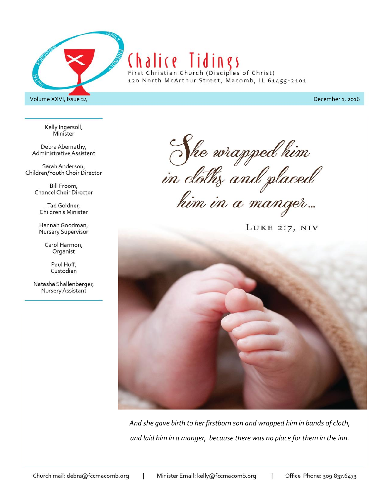

Kelly Ingersoll, Minister

Debra Abernathy, Administrative Assistant

Sarah Anderson, Children/Youth Choir Director

> Bill Froom, Chancel Choir Director

Tad Goldner, Children's Minister

Hannah Goodman, Nursery Supervisor

> Carol Harmon, Organist

> > Paul Huff, Custodian

Natasha Shallenberger, Nursery Assistant

She wrapped him<br>in cloths and placed<br>him in a manger...

LUKE  $2:7$ , NIV



*And she gave birth to her firstborn son and wrapped him in bands of cloth, and laid him in a manger, because there was no place for them in the inn.*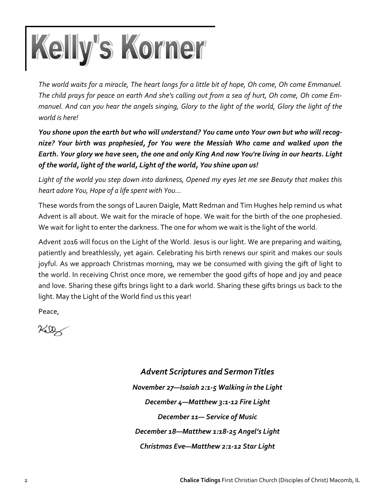

*The world waits for a miracle, The heart longs for a little bit of hope, Oh come, Oh come Emmanuel. The child prays for peace on earth And she's calling out from a sea of hurt, Oh come, Oh come Emmanuel. And can you hear the angels singing, Glory to the light of the world, Glory the light of the world is here!*

*You shone upon the earth but who will understand? You came unto Your own but who will recognize? Your birth was prophesied, for You were the Messiah Who came and walked upon the Earth. Your glory we have seen, the one and only King And now You're living in our hearts. Light of the world, light of the world, Light of the world, You shine upon us!*

*Light of the world you step down into darkness, Opened my eyes let me see Beauty that makes this heart adore You, Hope of a life spent with You…*

These words from the songs of Lauren Daigle, Matt Redman and Tim Hughes help remind us what Advent is all about. We wait for the miracle of hope. We wait for the birth of the one prophesied. We wait for light to enter the darkness. The one for whom we wait is the light of the world.

Advent 2016 will focus on the Light of the World. Jesus is our light. We are preparing and waiting, patiently and breathlessly, yet again. Celebrating his birth renews our spirit and makes our souls joyful. As we approach Christmas morning, may we be consumed with giving the gift of light to the world. In receiving Christ once more, we remember the good gifts of hope and joy and peace and love. Sharing these gifts brings light to a dark world. Sharing these gifts brings us back to the light. May the Light of the World find us this year!

Peace,

 $760$ 

*Advent Scriptures and Sermon Titles November 27—Isaiah 2:1-5 Walking in the Light December 4—Matthew 3:1-12 Fire Light December 11— Service of Music December 18—Matthew 1:18-25 Angel's Light Christmas Eve—Matthew 2:1-12 Star Light*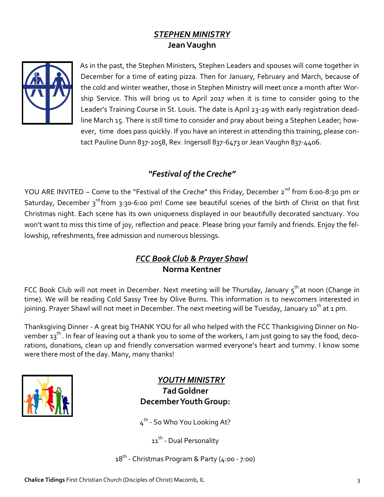# *STEPHEN MINISTRY* **Jean Vaughn**



As in the past, the Stephen Ministers, Stephen Leaders and spouses will come together in December for a time of eating pizza. Then for January, February and March, because of the cold and winter weather, those in Stephen Ministry will meet once a month after Worship Service. This will bring us to April 2017 when it is time to consider going to the Leader's Training Course in St. Louis. The date is April 23-29 with early registration deadline March 15. There is still time to consider and pray about being a Stephen Leader; however, time does pass quickly. If you have an interest in attending this training, please contact Pauline Dunn 837-2058, Rev. Ingersoll 837-6473 or Jean Vaughn 837-4406.

# *"Festival of the Creche"*

YOU ARE INVITED – Come to the "Festival of the Creche" this Friday, December 2<sup>nd</sup> from 6:00-8:30 pm or Saturday, December 3<sup>rd</sup> from 3:30-6:00 pm! Come see beautiful scenes of the birth of Christ on that first Christmas night. Each scene has its own uniqueness displayed in our beautifully decorated sanctuary. You won't want to miss this time of joy, reflection and peace. Please bring your family and friends. Enjoy the fellowship, refreshments, free admission and numerous blessings.

## *FCC Book Club & Prayer Shawl*  **Norma Kentner**

FCC Book Club will not meet in December. Next meeting will be Thursday, January  $5<sup>th</sup>$ at noon (Change in time). We will be reading Cold Sassy Tree by Olive Burns. This information is to newcomers interested in joining. Prayer Shawl will not meet in December. The next meeting will be Tuesday, January 10<sup>th</sup> at 1 pm.

Thanksgiving Dinner - A great big THANK YOU for all who helped with the FCC Thanksgiving Dinner on November 13<sup>th</sup>. In fear of leaving out a thank you to some of the workers, I am just going to say the food, decorations, donations, clean up and friendly conversation warmed everyone's heart and tummy. I know some were there most of the day. Many, many thanks!



## *YOUTH MINISTRY T***ad Goldner December Youth Group:**

4<sup>th</sup> - So Who You Looking At?

11<sup>th</sup> - Dual Personality

18<sup>th</sup> - Christmas Program & Party (4:00 - 7:00)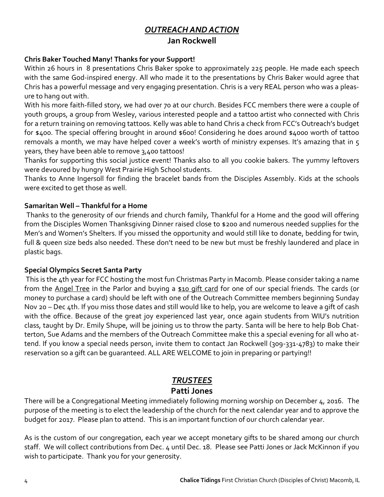# *OUTREACH AND ACTION* **Jan Rockwell**

#### **Chris Baker Touched Many! Thanks for your Support!**

Within 26 hours in 8 presentations Chris Baker spoke to approximately 225 people. He made each speech with the same God-inspired energy. All who made it to the presentations by Chris Baker would agree that Chris has a powerful message and very engaging presentation. Chris is a very REAL person who was a pleasure to hang out with.

With his more faith-filled story, we had over 70 at our church. Besides FCC members there were a couple of youth groups, a group from Wesley, various interested people and a tattoo artist who connected with Chris for a return training on removing tattoos. Kelly was able to hand Chris a check from FCC's Outreach's budget for \$400. The special offering brought in around \$600! Considering he does around \$4000 worth of tattoo removals a month, we may have helped cover a week's worth of ministry expenses. It's amazing that in 5 years, they have been able to remove 3,400 tattoos!

Thanks for supporting this social justice event! Thanks also to all you cookie bakers. The yummy leftovers were devoured by hungry West Prairie High School students.

Thanks to Anne Ingersoll for finding the bracelet bands from the Disciples Assembly. Kids at the schools were excited to get those as well.

#### **Samaritan Well – Thankful for a Home**

Thanks to the generosity of our friends and church family, Thankful for a Home and the good will offering from the Disciples Women Thanksgiving Dinner raised close to \$200 and numerous needed supplies for the Men's and Women's Shelters. If you missed the opportunity and would still like to donate, bedding for twin, full & queen size beds also needed. These don't need to be new but must be freshly laundered and place in plastic bags.

#### **Special Olympics Secret Santa Party**

This is the 4th year for FCC hosting the most fun Christmas Party in Macomb. Please consider taking a name from the Angel Tree in the Parlor and buying a \$10 gift card for one of our special friends. The cards (or money to purchase a card) should be left with one of the Outreach Committee members beginning Sunday Nov 20 – Dec 4th. If you miss those dates and still would like to help, you are welcome to leave a gift of cash with the office. Because of the great joy experienced last year, once again students from WIU's nutrition class, taught by Dr. Emily Shupe, will be joining us to throw the party. Santa will be here to help Bob Chatterton, Sue Adams and the members of the Outreach Committee make this a special evening for all who attend. If you know a special needs person, invite them to contact Jan Rockwell (309-331-4783) to make their reservation so a gift can be guaranteed. ALL ARE WELCOME to join in preparing or partying!!

#### *TRUSTEES*

#### **Patti Jones**

There will be a Congregational Meeting immediately following morning worship on December 4, 2016. The purpose of the meeting is to elect the leadership of the church for the next calendar year and to approve the budget for 2017. Please plan to attend. This is an important function of our church calendar year.

As is the custom of our congregation, each year we accept monetary gifts to be shared among our church staff. We will collect contributions from Dec. 4 until Dec. 18. Please see Patti Jones or Jack McKinnon if you wish to participate. Thank you for your generosity.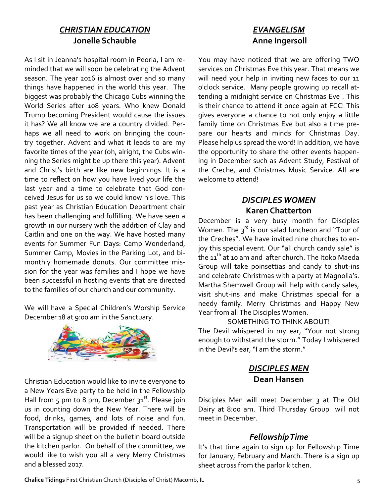#### *CHRISTIAN EDUCATION* **Jonelle Schauble**

As I sit in Jeanna's hospital room in Peoria, I am reminded that we will soon be celebrating the Advent season. The year 2016 is almost over and so many things have happened in the world this year. The biggest was probably the Chicago Cubs winning the World Series after 108 years. Who knew Donald Trump becoming President would cause the issues it has? We all know we are a country divided. Perhaps we all need to work on bringing the country together. Advent and what it leads to are my favorite times of the year (oh, alright, the Cubs winning the Series might be up there this year). Advent and Christ's birth are like new beginnings. It is a time to reflect on how you have lived your life the last year and a time to celebrate that God conceived Jesus for us so we could know his love. This past year as Christian Education Department chair has been challenging and fulfilling. We have seen a growth in our nursery with the addition of Clay and Caitlin and one on the way. We have hosted many events for Summer Fun Days: Camp Wonderland, Summer Camp, Movies in the Parking Lot, and bimonthly homemade donuts. Our committee mission for the year was families and I hope we have been successful in hosting events that are directed to the families of our church and our community.

We will have a Special Children's Worship Service December 18 at 9:00 am in the Sanctuary.



Christian Education would like to invite everyone to a New Years Eve party to be held in the Fellowship Hall from 5 pm to 8 pm, December  $31^{st}$ . Please join us in counting down the New Year. There will be food, drinks, games, and lots of noise and fun. Transportation will be provided if needed. There will be a signup sheet on the bulletin board outside the kitchen parlor. On behalf of the committee, we would like to wish you all a very Merry Christmas and a blessed 2017.

# *EVANGELISM* **Anne Ingersoll**

You may have noticed that we are offering TWO services on Christmas Eve this year. That means we will need your help in inviting new faces to our 11 o'clock service. Many people growing up recall attending a midnight service on Christmas Eve . This is their chance to attend it once again at FCC! This gives everyone a chance to not only enjoy a little family time on Christmas Eve but also a time prepare our hearts and minds for Christmas Day. Please help us spread the word! In addition, we have the opportunity to share the other events happening in December such as Advent Study, Festival of the Creche, and Christmas Music Service. All are welcome to attend!

## *DISCIPLES WOMEN* **Karen Chatterton**

December is a very busy month for Disciples Women. The  $3^{rd}$  is our salad luncheon and "Tour of the Creches". We have invited nine churches to enjoy this special event. Our "all church candy sale" is the 11<sup>th</sup> at 10 am and after church. The Itoko Maeda Group will take poinsettias and candy to shut-ins and celebrate Christmas with a party at Magnolia's. Martha Shemwell Group will help with candy sales, visit shut-ins and make Christmas special for a needy family. Merry Christmas and Happy New Year from all The Disciples Women.

#### SOMETHING TO THINK ABOUT!

The Devil whispered in my ear, "Your not strong enough to withstand the storm." Today I whispered in the Devil's ear, "I am the storm."

## *DISCIPLES MEN* **Dean Hansen**

Disciples Men will meet December 3 at The Old Dairy at 8:00 am. Third Thursday Group will not meet in December.

#### *Fellowship Time*

It's that time again to sign up for Fellowship Time for January, February and March. There is a sign up sheet across from the parlor kitchen.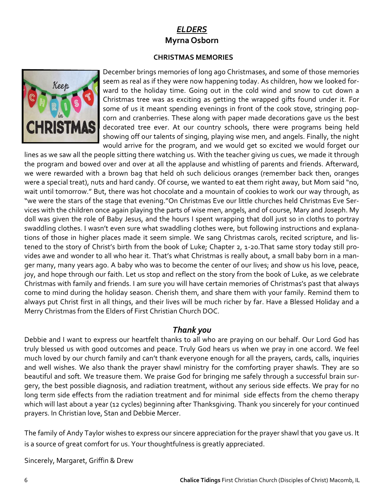# *ELDERS*  **Myrna Osborn**

#### **CHRISTMAS MEMORIES**



December brings memories of long ago Christmases, and some of those memories seem as real as if they were now happening today. As children, how we looked forward to the holiday time. Going out in the cold wind and snow to cut down a Christmas tree was as exciting as getting the wrapped gifts found under it. For some of us it meant spending evenings in front of the cook stove, stringing popcorn and cranberries. These along with paper made decorations gave us the best decorated tree ever. At our country schools, there were programs being held showing off our talents of singing, playing wise men, and angels. Finally, the night would arrive for the program, and we would get so excited we would forget our

lines as we saw all the people sitting there watching us. With the teacher giving us cues, we made it through the program and bowed over and over at all the applause and whistling of parents and friends. Afterward, we were rewarded with a brown bag that held oh such delicious oranges (remember back then, oranges were a special treat), nuts and hard candy. Of course, we wanted to eat them right away, but Mom said "no, wait until tomorrow." But, there was hot chocolate and a mountain of cookies to work our way through, as "we were the stars of the stage that evening."On Christmas Eve our little churches held Christmas Eve Services with the children once again playing the parts of wise men, angels, and of course, Mary and Joseph. My doll was given the role of Baby Jesus, and the hours I spent wrapping that doll just so in cloths to portray swaddling clothes. I wasn't even sure what swaddling clothes were, but following instructions and explanations of those in higher places made it seem simple. We sang Christmas carols, recited scripture, and listened to the story of Christ's birth from the book of Luke; Chapter 2, 1-20.That same story today still provides awe and wonder to all who hear it. That's what Christmas is really about, a small baby born in a manger many, many years ago. A baby who was to become the center of our lives; and show us his love, peace, joy, and hope through our faith. Let us stop and reflect on the story from the book of Luke, as we celebrate Christmas with family and friends. I am sure you will have certain memories of Christmas's past that always come to mind during the holiday season. Cherish them, and share them with your family. Remind them to always put Christ first in all things, and their lives will be much richer by far. Have a Blessed Holiday and a Merry Christmas from the Elders of First Christian Church DOC.

#### *Thank you*

Debbie and I want to express our heartfelt thanks to all who are praying on our behalf. Our Lord God has truly blessed us with good outcomes and peace. Truly God hears us when we pray in one accord. We feel much loved by our church family and can't thank everyone enough for all the prayers, cards, calls, inquiries and well wishes. We also thank the prayer shawl ministry for the comforting prayer shawls. They are so beautiful and soft. We treasure them. We praise God for bringing me safely through a successful brain surgery, the best possible diagnosis, and radiation treatment, without any serious side effects. We pray for no long term side effects from the radiation treatment and for minimal side effects from the chemo therapy which will last about a year (12 cycles) beginning after Thanksgiving. Thank you sincerely for your continued prayers. In Christian love, Stan and Debbie Mercer.

The family of Andy Taylor wishes to express our sincere appreciation for the prayer shawl that you gave us. It is a source of great comfort for us. Your thoughtfulness is greatly appreciated.

Sincerely, Margaret, Griffin & Drew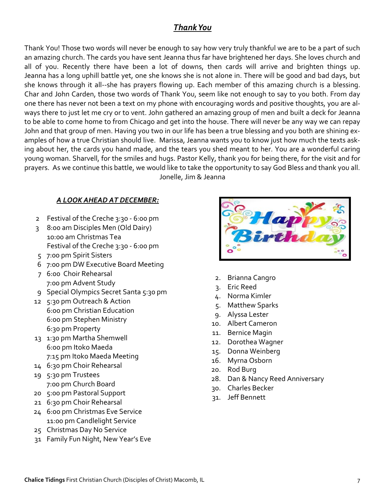## *Thank You*

Thank You! Those two words will never be enough to say how very truly thankful we are to be a part of such an amazing church. The cards you have sent Jeanna thus far have brightened her days. She loves church and all of you. Recently there have been a lot of downs, then cards will arrive and brighten things up. Jeanna has a long uphill battle yet, one she knows she is not alone in. There will be good and bad days, but she knows through it all--she has prayers flowing up. Each member of this amazing church is a blessing. Char and John Carden, those two words of Thank You, seem like not enough to say to you both. From day one there has never not been a text on my phone with encouraging words and positive thoughts, you are always there to just let me cry or to vent. John gathered an amazing group of men and built a deck for Jeanna to be able to come home to from Chicago and get into the house. There will never be any way we can repay John and that group of men. Having you two in our life has been a true blessing and you both are shining examples of how a true Christian should live. Marissa, Jeanna wants you to know just how much the texts asking about her, the cards you hand made, and the tears you shed meant to her. You are a wonderful caring young woman. Sharvell, for the smiles and hugs. Pastor Kelly, thank you for being there, for the visit and for prayers. As we continue this battle, we would like to take the opportunity to say God Bless and thank you all. Jonelle, Jim & Jeanna

#### *A LOOK AHEAD AT DECEMBER:*

- 2 Festival of the Creche 3:30 6:00 pm
- 3 8:00 am Disciples Men (Old Dairy) 10:00 am Christmas Tea Festival of the Creche 3:30 - 6:00 pm
- 5 7:00 pm Spirit Sisters
- 6 7:00 pm DW Executive Board Meeting
- 7 6:00 Choir Rehearsal 7:00 pm Advent Study
- 9 Special Olympics Secret Santa 5:30 pm
- 12 5:30 pm Outreach & Action 6:00 pm Christian Education 6:00 pm Stephen Ministry 6:30 pm Property
- 13 1:30 pm Martha Shemwell 6:00 pm Itoko Maeda 7:15 pm Itoko Maeda Meeting
- 14 6:30 pm Choir Rehearsal
- 19 5:30 pm Trustees 7:00 pm Church Board
- 20 5:00 pm Pastoral Support
- 21 6:30 pm Choir Rehearsal
- 24 6:00 pm Christmas Eve Service 11:00 pm Candlelight Service
- 25 Christmas Day No Service
- 31 Family Fun Night, New Year's Eve



- 2. Brianna Cangro
- 3. Eric Reed
- 4. Norma Kimler
- 5. Matthew Sparks
- 9. Alyssa Lester
- 10. Albert Cameron
- 11. Bernice Magin
- 12. Dorothea Wagner
- 15. Donna Weinberg
- 16. Myrna Osborn
- 20. Rod Burg
- 28. Dan & Nancy Reed Anniversary
- 30. Charles Becker
- 31. Jeff Bennett